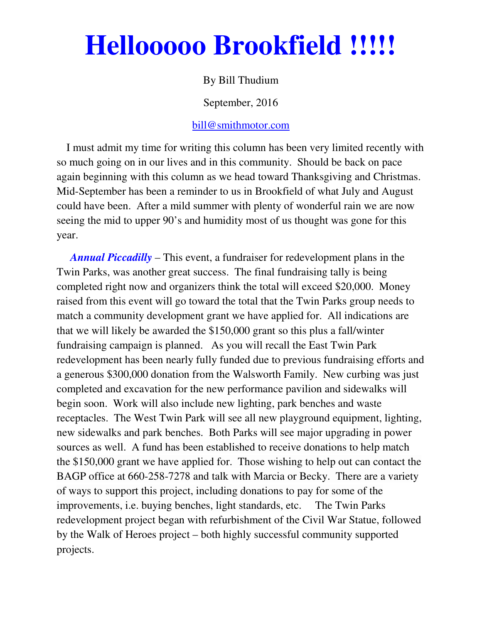# **Hellooooo Brookfield !!!!!**

### By Bill Thudium

September, 2016

#### bill@smithmotor.com

 I must admit my time for writing this column has been very limited recently with so much going on in our lives and in this community. Should be back on pace again beginning with this column as we head toward Thanksgiving and Christmas. Mid-September has been a reminder to us in Brookfield of what July and August could have been. After a mild summer with plenty of wonderful rain we are now seeing the mid to upper 90's and humidity most of us thought was gone for this year.

 *Annual Piccadilly* – This event, a fundraiser for redevelopment plans in the Twin Parks, was another great success. The final fundraising tally is being completed right now and organizers think the total will exceed \$20,000. Money raised from this event will go toward the total that the Twin Parks group needs to match a community development grant we have applied for. All indications are that we will likely be awarded the \$150,000 grant so this plus a fall/winter fundraising campaign is planned. As you will recall the East Twin Park redevelopment has been nearly fully funded due to previous fundraising efforts and a generous \$300,000 donation from the Walsworth Family. New curbing was just completed and excavation for the new performance pavilion and sidewalks will begin soon. Work will also include new lighting, park benches and waste receptacles. The West Twin Park will see all new playground equipment, lighting, new sidewalks and park benches. Both Parks will see major upgrading in power sources as well. A fund has been established to receive donations to help match the \$150,000 grant we have applied for. Those wishing to help out can contact the BAGP office at 660-258-7278 and talk with Marcia or Becky. There are a variety of ways to support this project, including donations to pay for some of the improvements, i.e. buying benches, light standards, etc. The Twin Parks redevelopment project began with refurbishment of the Civil War Statue, followed by the Walk of Heroes project – both highly successful community supported projects.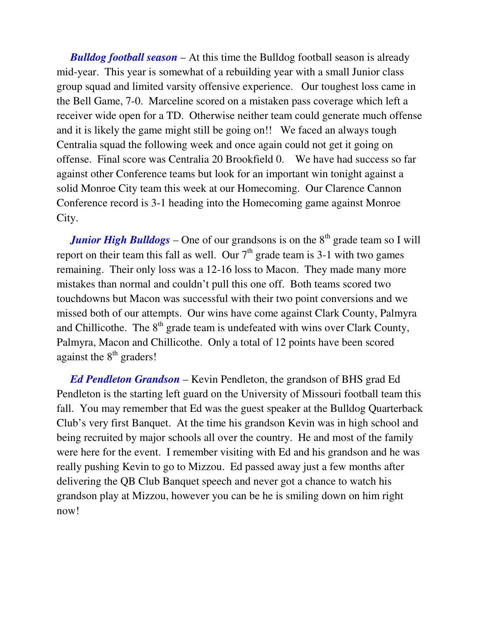*Bulldog football season* – At this time the Bulldog football season is already mid-year. This year is somewhat of a rebuilding year with a small Junior class group squad and limited varsity offensive experience. Our toughest loss came in the Bell Game, 7-0. Marceline scored on a mistaken pass coverage which left a receiver wide open for a TD. Otherwise neither team could generate much offense and it is likely the game might still be going on!! We faced an always tough Centralia squad the following week and once again could not get it going on offense. Final score was Centralia 20 Brookfield 0. We have had success so far against other Conference teams but look for an important win tonight against a solid Monroe City team this week at our Homecoming. Our Clarence Cannon Conference record is 3-1 heading into the Homecoming game against Monroe City.

*Junior High Bulldogs* – One of our grandsons is on the 8<sup>th</sup> grade team so I will report on their team this fall as well. Our  $7<sup>th</sup>$  grade team is 3-1 with two games remaining. Their only loss was a 12-16 loss to Macon. They made many more mistakes than normal and couldn't pull this one off. Both teams scored two touchdowns but Macon was successful with their two point conversions and we missed both of our attempts. Our wins have come against Clark County, Palmyra and Chillicothe. The  $8<sup>th</sup>$  grade team is undefeated with wins over Clark County, Palmyra, Macon and Chillicothe. Only a total of 12 points have been scored against the  $8<sup>th</sup>$  graders!

 *Ed Pendleton Grandson* – Kevin Pendleton, the grandson of BHS grad Ed Pendleton is the starting left guard on the University of Missouri football team this fall. You may remember that Ed was the guest speaker at the Bulldog Quarterback Club's very first Banquet. At the time his grandson Kevin was in high school and being recruited by major schools all over the country. He and most of the family were here for the event. I remember visiting with Ed and his grandson and he was really pushing Kevin to go to Mizzou. Ed passed away just a few months after delivering the QB Club Banquet speech and never got a chance to watch his grandson play at Mizzou, however you can be he is smiling down on him right now!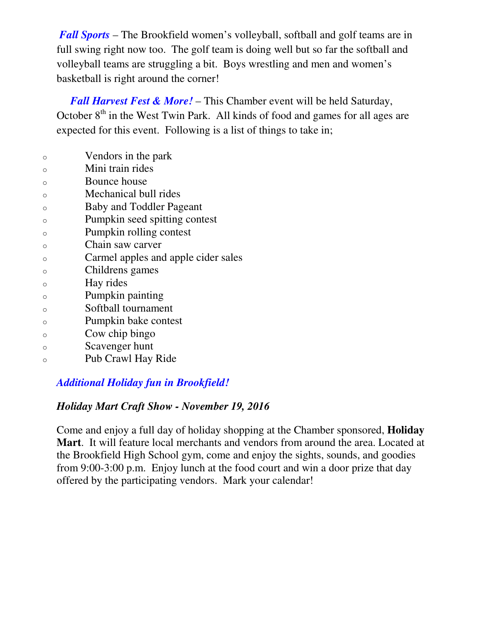*Fall Sports* – The Brookfield women's volleyball, softball and golf teams are in full swing right now too. The golf team is doing well but so far the softball and volleyball teams are struggling a bit. Boys wrestling and men and women's basketball is right around the corner!

 *Fall Harvest Fest & More!* – This Chamber event will be held Saturday, October  $8<sup>th</sup>$  in the West Twin Park. All kinds of food and games for all ages are expected for this event. Following is a list of things to take in;

- o Vendors in the park
- o Mini train rides
- o Bounce house
- o Mechanical bull rides
- o Baby and Toddler Pageant
- o Pumpkin seed spitting contest
- o Pumpkin rolling contest
- o Chain saw carver
- o Carmel apples and apple cider sales
- o Childrens games
- o Hay rides
- o Pumpkin painting
- o Softball tournament
- o Pumpkin bake contest
- o Cow chip bingo
- o Scavenger hunt
- o Pub Crawl Hay Ride

## *Additional Holiday fun in Brookfield!*

## *Holiday Mart Craft Show - November 19, 2016*

Come and enjoy a full day of holiday shopping at the Chamber sponsored, **Holiday Mart**. It will feature local merchants and vendors from around the area. Located at the Brookfield High School gym, come and enjoy the sights, sounds, and goodies from 9:00-3:00 p.m. Enjoy lunch at the food court and win a door prize that day offered by the participating vendors. Mark your calendar!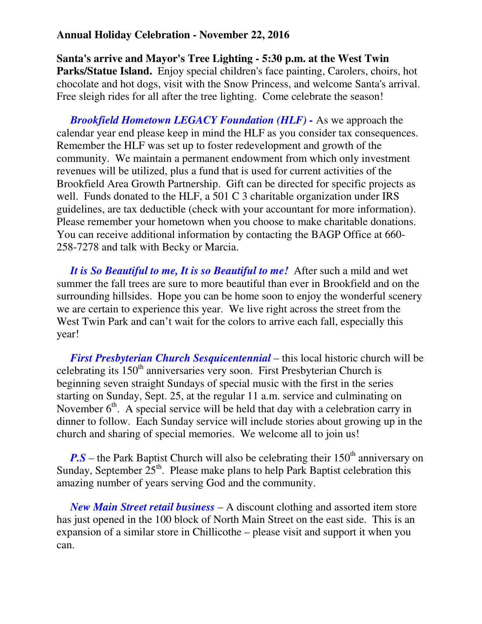#### **Annual Holiday Celebration - November 22, 2016**

**Santa's arrive and Mayor's Tree Lighting - 5:30 p.m. at the West Twin Parks/Statue Island.** Enjoy special children's face painting, Carolers, choirs, hot chocolate and hot dogs, visit with the Snow Princess, and welcome Santa's arrival. Free sleigh rides for all after the tree lighting. Come celebrate the season!

 *Brookfield Hometown LEGACY Foundation (HLF) -* As we approach the calendar year end please keep in mind the HLF as you consider tax consequences. Remember the HLF was set up to foster redevelopment and growth of the community. We maintain a permanent endowment from which only investment revenues will be utilized, plus a fund that is used for current activities of the Brookfield Area Growth Partnership. Gift can be directed for specific projects as well. Funds donated to the HLF, a 501 C 3 charitable organization under IRS guidelines, are tax deductible (check with your accountant for more information). Please remember your hometown when you choose to make charitable donations. You can receive additional information by contacting the BAGP Office at 660- 258-7278 and talk with Becky or Marcia.

 *It is So Beautiful to me, It is so Beautiful to me!* After such a mild and wet summer the fall trees are sure to more beautiful than ever in Brookfield and on the surrounding hillsides. Hope you can be home soon to enjoy the wonderful scenery we are certain to experience this year. We live right across the street from the West Twin Park and can't wait for the colors to arrive each fall, especially this year!

 *First Presbyterian Church Sesquicentennial* – this local historic church will be celebrating its  $150<sup>th</sup>$  anniversaries very soon. First Presbyterian Church is beginning seven straight Sundays of special music with the first in the series starting on Sunday, Sept. 25, at the regular 11 a.m. service and culminating on November  $6<sup>th</sup>$ . A special service will be held that day with a celebration carry in dinner to follow. Each Sunday service will include stories about growing up in the church and sharing of special memories. We welcome all to join us!

 $P.S$  – the Park Baptist Church will also be celebrating their  $150<sup>th</sup>$  anniversary on Sunday, September  $25<sup>th</sup>$ . Please make plans to help Park Baptist celebration this amazing number of years serving God and the community.

 *New Main Street retail business* – A discount clothing and assorted item store has just opened in the 100 block of North Main Street on the east side. This is an expansion of a similar store in Chillicothe – please visit and support it when you can.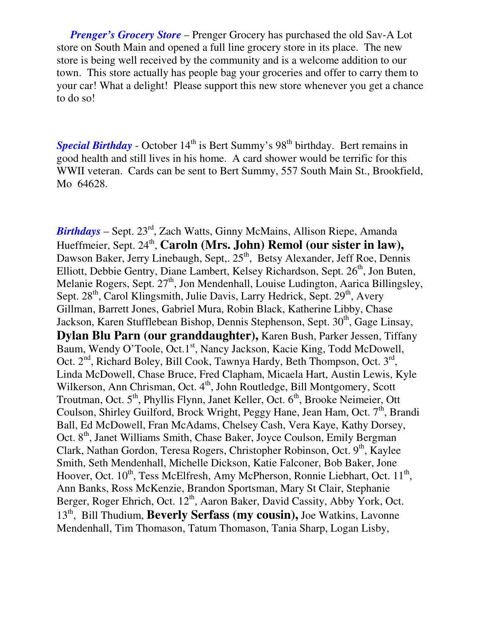*Prenger's Grocery Store* – Prenger Grocery has purchased the old Sav-A Lot store on South Main and opened a full line grocery store in its place. The new store is being well received by the community and is a welcome addition to our town. This store actually has people bag your groceries and offer to carry them to your car! What a delight! Please support this new store whenever you get a chance to do so!

**Special Birthday** - October 14<sup>th</sup> is Bert Summy's 98<sup>th</sup> birthday. Bert remains in good health and still lives in his home. A card shower would be terrific for this WWII veteran. Cards can be sent to Bert Summy, 557 South Main St., Brookfield, Mo 64628.

*Birthdays* – Sept. 23rd, Zach Watts, Ginny McMains, Allison Riepe, Amanda Hueffmeier, Sept. 24<sup>th</sup>, **Caroln (Mrs. John) Remol (our sister in law),** Dawson Baker, Jerry Linebaugh, Sept,. 25<sup>th</sup>, Betsy Alexander, Jeff Roe, Dennis Elliott, Debbie Gentry, Diane Lambert, Kelsey Richardson, Sept.  $26<sup>th</sup>$ , Jon Buten, Melanie Rogers, Sept. 27<sup>th</sup>, Jon Mendenhall, Louise Ludington, Aarica Billingsley, Sept.  $28<sup>th</sup>$ , Carol Klingsmith, Julie Davis, Larry Hedrick, Sept.  $29<sup>th</sup>$ , Avery Gillman, Barrett Jones, Gabriel Mura, Robin Black, Katherine Libby, Chase Jackson, Karen Stufflebean Bishop, Dennis Stephenson, Sept. 30<sup>th</sup>, Gage Linsay, **Dylan Blu Parn (our granddaughter),** Karen Bush, Parker Jessen, Tiffany Baum, Wendy O'Toole, Oct.1<sup>st</sup>, Nancy Jackson, Kacie King, Todd McDowell, Oct. 2<sup>nd</sup>, Richard Boley, Bill Cook, Tawnya Hardy, Beth Thompson, Oct. 3<sup>rd</sup>, Linda McDowell, Chase Bruce, Fred Clapham, Micaela Hart, Austin Lewis, Kyle Wilkerson, Ann Chrisman, Oct. 4<sup>th</sup>, John Routledge, Bill Montgomery, Scott Troutman, Oct.  $5<sup>th</sup>$ , Phyllis Flynn, Janet Keller, Oct.  $6<sup>th</sup>$ , Brooke Neimeier, Ott Coulson, Shirley Guilford, Brock Wright, Peggy Hane, Jean Ham, Oct.  $7<sup>th</sup>$ , Brandi Ball, Ed McDowell, Fran McAdams, Chelsey Cash, Vera Kaye, Kathy Dorsey, Oct. 8<sup>th</sup>, Janet Williams Smith, Chase Baker, Joyce Coulson, Emily Bergman Clark, Nathan Gordon, Teresa Rogers, Christopher Robinson, Oct. 9<sup>th</sup>, Kaylee Smith, Seth Mendenhall, Michelle Dickson, Katie Falconer, Bob Baker, Jone Hoover, Oct.  $10^{th}$ , Tess McElfresh, Amy McPherson, Ronnie Liebhart, Oct.  $11^{th}$ , Ann Banks, Ross McKenzie, Brandon Sportsman, Mary St Clair, Stephanie Berger, Roger Ehrich, Oct. 12<sup>th</sup>, Aaron Baker, David Cassity, Abby York, Oct. 13th, Bill Thudium, **Beverly Serfass (my cousin),** Joe Watkins, Lavonne Mendenhall, Tim Thomason, Tatum Thomason, Tania Sharp, Logan Lisby,